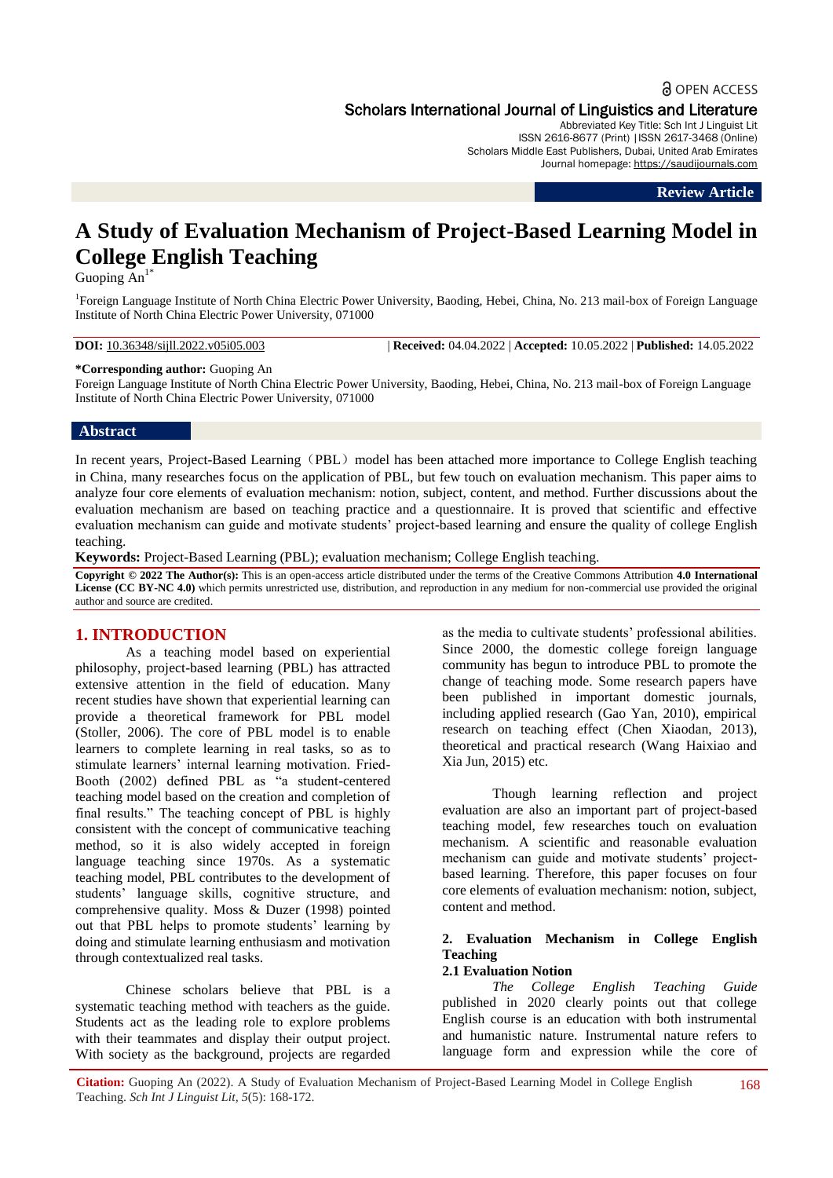# **a** OPEN ACCESS Scholars International Journal of Linguistics and Literature

Abbreviated Key Title: Sch Int J Linguist Lit ISSN 2616-8677 (Print) |ISSN 2617-3468 (Online) Scholars Middle East Publishers, Dubai, United Arab Emirates Journal homepage: https://saudijournals.com

**Review Article**

# **A Study of Evaluation Mechanism of Project-Based Learning Model in College English Teaching**

Guoping  $An^{1*}$ 

<sup>1</sup>Foreign Language Institute of North China Electric Power University, Baoding, Hebei, China, No. 213 mail-box of Foreign Language Institute of North China Electric Power University, 071000

**DOI:** 10.36348/sijll.2022.v05i05.003 | **Received:** 04.04.2022 | **Accepted:** 10.05.2022 | **Published:** 14.05.2022

**\*Corresponding author:** Guoping An

Foreign Language Institute of North China Electric Power University, Baoding, Hebei, China, No. 213 mail-box of Foreign Language Institute of North China Electric Power University, 071000

## **Abstract**

In recent years, Project-Based Learning (PBL) model has been attached more importance to College English teaching in China, many researches focus on the application of PBL, but few touch on evaluation mechanism. This paper aims to analyze four core elements of evaluation mechanism: notion, subject, content, and method. Further discussions about the evaluation mechanism are based on teaching practice and a questionnaire. It is proved that scientific and effective evaluation mechanism can guide and motivate students' project-based learning and ensure the quality of college English teaching.

**Keywords:** Project-Based Learning (PBL); evaluation mechanism; College English teaching.

**Copyright © 2022 The Author(s):** This is an open-access article distributed under the terms of the Creative Commons Attribution **4.0 International License (CC BY-NC 4.0)** which permits unrestricted use, distribution, and reproduction in any medium for non-commercial use provided the original author and source are credited.

# **1. INTRODUCTION**

As a teaching model based on experiential philosophy, project-based learning (PBL) has attracted extensive attention in the field of education. Many recent studies have shown that experiential learning can provide a theoretical framework for PBL model (Stoller, 2006). The core of PBL model is to enable learners to complete learning in real tasks, so as to stimulate learners' internal learning motivation. Fried-Booth (2002) defined PBL as "a student-centered teaching model based on the creation and completion of final results." The teaching concept of PBL is highly consistent with the concept of communicative teaching method, so it is also widely accepted in foreign language teaching since 1970s. As a systematic teaching model, PBL contributes to the development of students' language skills, cognitive structure, and comprehensive quality. Moss & Duzer (1998) pointed out that PBL helps to promote students' learning by doing and stimulate learning enthusiasm and motivation through contextualized real tasks.

Chinese scholars believe that PBL is a systematic teaching method with teachers as the guide. Students act as the leading role to explore problems with their teammates and display their output project. With society as the background, projects are regarded

as the media to cultivate students' professional abilities. Since 2000, the domestic college foreign language community has begun to introduce PBL to promote the change of teaching mode. Some research papers have been published in important domestic journals, including applied research (Gao Yan, 2010), empirical research on teaching effect (Chen Xiaodan, 2013), theoretical and practical research (Wang Haixiao and Xia Jun, 2015) etc.

Though learning reflection and project evaluation are also an important part of project-based teaching model, few researches touch on evaluation mechanism. A scientific and reasonable evaluation mechanism can guide and motivate students' projectbased learning. Therefore, this paper focuses on four core elements of evaluation mechanism: notion, subject, content and method.

# **2. Evaluation Mechanism in College English Teaching**

# **2.1 Evaluation Notion**

*The College English Teaching Guide* published in 2020 clearly points out that college English course is an education with both instrumental and humanistic nature. Instrumental nature refers to language form and expression while the core of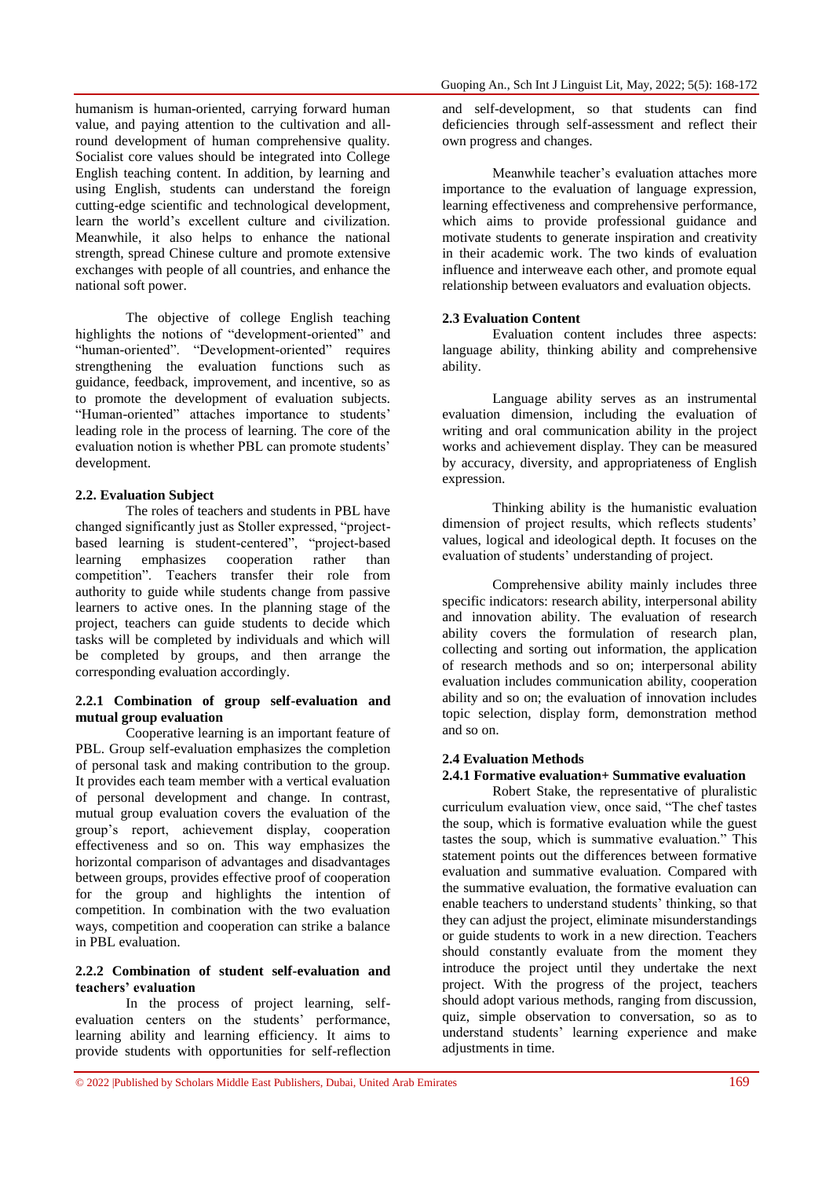humanism is human-oriented, carrying forward human value, and paying attention to the cultivation and allround development of human comprehensive quality. Socialist core values should be integrated into College English teaching content. In addition, by learning and using English, students can understand the foreign cutting-edge scientific and technological development, learn the world's excellent culture and civilization. Meanwhile, it also helps to enhance the national strength, spread Chinese culture and promote extensive exchanges with people of all countries, and enhance the national soft power.

The objective of college English teaching highlights the notions of "development-oriented" and "human-oriented". "Development-oriented" requires strengthening the evaluation functions such as guidance, feedback, improvement, and incentive, so as to promote the development of evaluation subjects. "Human-oriented" attaches importance to students' leading role in the process of learning. The core of the evaluation notion is whether PBL can promote students' development.

# **2.2. Evaluation Subject**

The roles of teachers and students in PBL have changed significantly just as Stoller expressed, "projectbased learning is student-centered", "project-based learning emphasizes cooperation rather than competition". Teachers transfer their role from authority to guide while students change from passive learners to active ones. In the planning stage of the project, teachers can guide students to decide which tasks will be completed by individuals and which will be completed by groups, and then arrange the corresponding evaluation accordingly.

## **2.2.1 Combination of group self-evaluation and mutual group evaluation**

Cooperative learning is an important feature of PBL. Group self-evaluation emphasizes the completion of personal task and making contribution to the group. It provides each team member with a vertical evaluation of personal development and change. In contrast, mutual group evaluation covers the evaluation of the group's report, achievement display, cooperation effectiveness and so on. This way emphasizes the horizontal comparison of advantages and disadvantages between groups, provides effective proof of cooperation for the group and highlights the intention of competition. In combination with the two evaluation ways, competition and cooperation can strike a balance in PBL evaluation.

# **2.2.2 Combination of student self-evaluation and teachers' evaluation**

In the process of project learning, selfevaluation centers on the students' performance, learning ability and learning efficiency. It aims to provide students with opportunities for self-reflection and self-development, so that students can find deficiencies through self-assessment and reflect their own progress and changes.

Meanwhile teacher's evaluation attaches more importance to the evaluation of language expression, learning effectiveness and comprehensive performance, which aims to provide professional guidance and motivate students to generate inspiration and creativity in their academic work. The two kinds of evaluation influence and interweave each other, and promote equal relationship between evaluators and evaluation objects.

# **2.3 Evaluation Content**

Evaluation content includes three aspects: language ability, thinking ability and comprehensive ability.

Language ability serves as an instrumental evaluation dimension, including the evaluation of writing and oral communication ability in the project works and achievement display. They can be measured by accuracy, diversity, and appropriateness of English expression.

Thinking ability is the humanistic evaluation dimension of project results, which reflects students' values, logical and ideological depth. It focuses on the evaluation of students' understanding of project.

Comprehensive ability mainly includes three specific indicators: research ability, interpersonal ability and innovation ability. The evaluation of research ability covers the formulation of research plan, collecting and sorting out information, the application of research methods and so on; interpersonal ability evaluation includes communication ability, cooperation ability and so on; the evaluation of innovation includes topic selection, display form, demonstration method and so on.

# **2.4 Evaluation Methods**

# **2.4.1 Formative evaluation+ Summative evaluation**

Robert Stake, the representative of pluralistic curriculum evaluation view, once said, "The chef tastes the soup, which is formative evaluation while the guest tastes the soup, which is summative evaluation." This statement points out the differences between formative evaluation and summative evaluation. Compared with the summative evaluation, the formative evaluation can enable teachers to understand students' thinking, so that they can adjust the project, eliminate misunderstandings or guide students to work in a new direction. Teachers should constantly evaluate from the moment they introduce the project until they undertake the next project. With the progress of the project, teachers should adopt various methods, ranging from discussion, quiz, simple observation to conversation, so as to understand students' learning experience and make adjustments in time.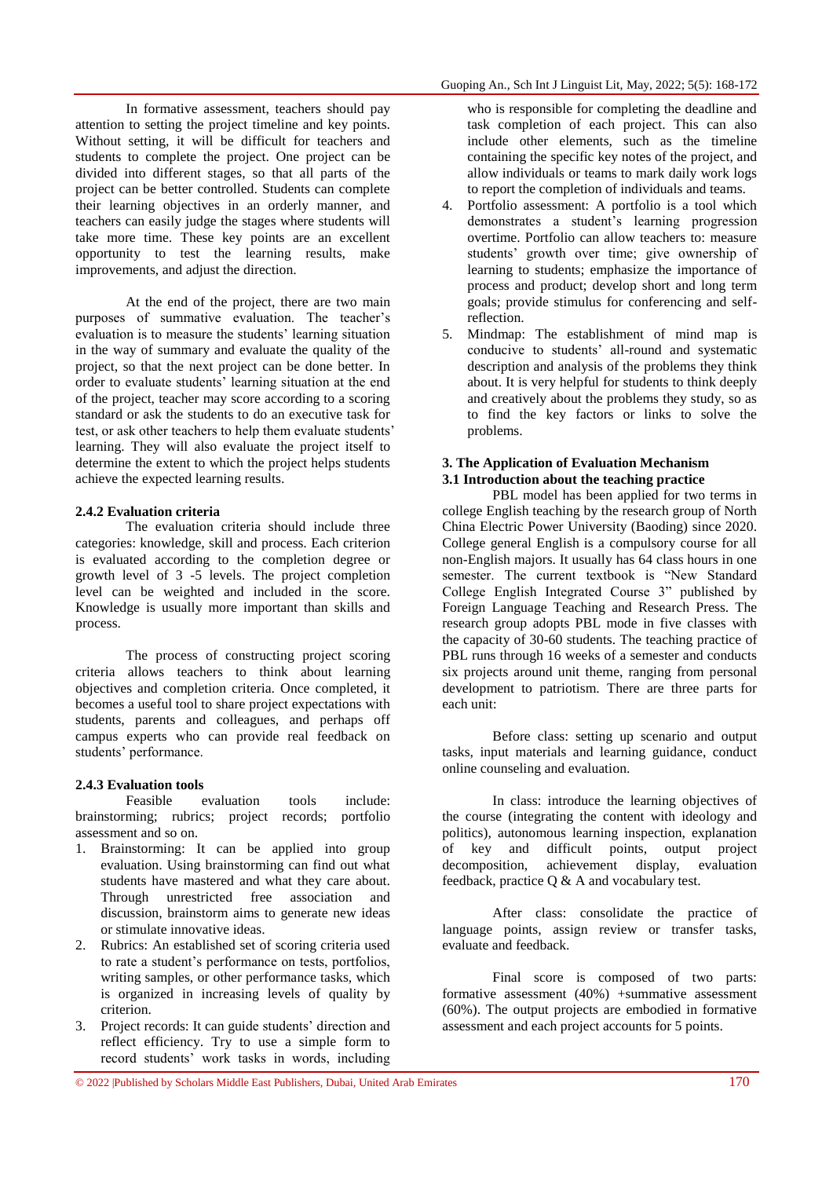In formative assessment, teachers should pay attention to setting the project timeline and key points. Without setting, it will be difficult for teachers and students to complete the project. One project can be divided into different stages, so that all parts of the project can be better controlled. Students can complete their learning objectives in an orderly manner, and teachers can easily judge the stages where students will take more time. These key points are an excellent opportunity to test the learning results, make improvements, and adjust the direction.

At the end of the project, there are two main purposes of summative evaluation. The teacher's evaluation is to measure the students' learning situation in the way of summary and evaluate the quality of the project, so that the next project can be done better. In order to evaluate students' learning situation at the end of the project, teacher may score according to a scoring standard or ask the students to do an executive task for test, or ask other teachers to help them evaluate students' learning. They will also evaluate the project itself to determine the extent to which the project helps students achieve the expected learning results.

# **2.4.2 Evaluation criteria**

The evaluation criteria should include three categories: knowledge, skill and process. Each criterion is evaluated according to the completion degree or growth level of 3 -5 levels. The project completion level can be weighted and included in the score. Knowledge is usually more important than skills and process.

The process of constructing project scoring criteria allows teachers to think about learning objectives and completion criteria. Once completed, it becomes a useful tool to share project expectations with students, parents and colleagues, and perhaps off campus experts who can provide real feedback on students' performance.

#### **2.4.3 Evaluation tools**

Feasible evaluation tools include: brainstorming; rubrics; project records; portfolio assessment and so on.

- 1. Brainstorming: It can be applied into group evaluation. Using brainstorming can find out what students have mastered and what they care about. Through unrestricted free association and discussion, brainstorm aims to generate new ideas or stimulate innovative ideas.
- 2. Rubrics: An established set of scoring criteria used to rate a student's performance on tests, portfolios, writing samples, or other performance tasks, which is organized in increasing levels of quality by criterion.
- 3. Project records: It can guide students' direction and reflect efficiency. Try to use a simple form to record students' work tasks in words, including

who is responsible for completing the deadline and task completion of each project. This can also include other elements, such as the timeline containing the specific key notes of the project, and allow individuals or teams to mark daily work logs to report the completion of individuals and teams.

- 4. Portfolio assessment: A portfolio is a tool which demonstrates a student's learning progression overtime. Portfolio can allow teachers to: measure students' growth over time; give ownership of learning to students; emphasize the importance of process and product; develop short and long term goals; provide stimulus for conferencing and selfreflection.
- 5. Mindmap: The establishment of mind map is conducive to students' all-round and systematic description and analysis of the problems they think about. It is very helpful for students to think deeply and creatively about the problems they study, so as to find the key factors or links to solve the problems.

# **3. The Application of Evaluation Mechanism 3.1 Introduction about the teaching practice**

PBL model has been applied for two terms in college English teaching by the research group of North China Electric Power University (Baoding) since 2020. College general English is a compulsory course for all non-English majors. It usually has 64 class hours in one semester. The current textbook is "New Standard College English Integrated Course 3" published by Foreign Language Teaching and Research Press. The research group adopts PBL mode in five classes with the capacity of 30-60 students. The teaching practice of PBL runs through 16 weeks of a semester and conducts six projects around unit theme, ranging from personal development to patriotism. There are three parts for each unit:

Before class: setting up scenario and output tasks, input materials and learning guidance, conduct online counseling and evaluation.

In class: introduce the learning objectives of the course (integrating the content with ideology and politics), autonomous learning inspection, explanation of key and difficult points, output project achievement display, evaluation feedback, practice Q & A and vocabulary test.

After class: consolidate the practice of language points, assign review or transfer tasks, evaluate and feedback.

Final score is composed of two parts: formative assessment (40%) +summative assessment (60%). The output projects are embodied in formative assessment and each project accounts for 5 points.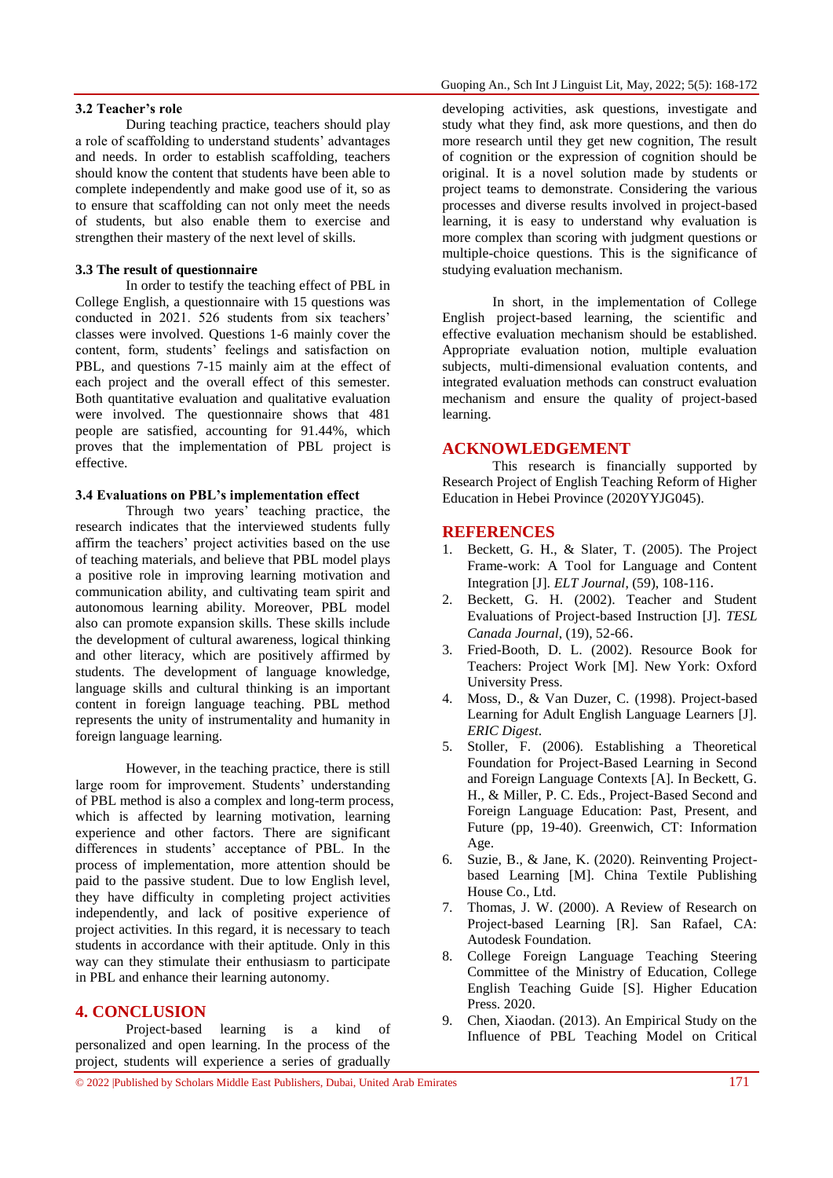#### **3.2 Teacher's role**

During teaching practice, teachers should play a role of scaffolding to understand students' advantages and needs. In order to establish scaffolding, teachers should know the content that students have been able to complete independently and make good use of it, so as to ensure that scaffolding can not only meet the needs of students, but also enable them to exercise and strengthen their mastery of the next level of skills.

#### **3.3 The result of questionnaire**

In order to testify the teaching effect of PBL in College English, a questionnaire with 15 questions was conducted in 2021. 526 students from six teachers' classes were involved. Questions 1-6 mainly cover the content, form, students' feelings and satisfaction on PBL, and questions 7-15 mainly aim at the effect of each project and the overall effect of this semester. Both quantitative evaluation and qualitative evaluation were involved. The questionnaire shows that 481 people are satisfied, accounting for 91.44%, which proves that the implementation of PBL project is effective.

#### **3.4 Evaluations on PBL's implementation effect**

Through two years' teaching practice, the research indicates that the interviewed students fully affirm the teachers' project activities based on the use of teaching materials, and believe that PBL model plays a positive role in improving learning motivation and communication ability, and cultivating team spirit and autonomous learning ability. Moreover, PBL model also can promote expansion skills. These skills include the development of cultural awareness, logical thinking and other literacy, which are positively affirmed by students. The development of language knowledge, language skills and cultural thinking is an important content in foreign language teaching. PBL method represents the unity of instrumentality and humanity in foreign language learning.

However, in the teaching practice, there is still large room for improvement. Students' understanding of PBL method is also a complex and long-term process, which is affected by learning motivation, learning experience and other factors. There are significant differences in students' acceptance of PBL. In the process of implementation, more attention should be paid to the passive student. Due to low English level, they have difficulty in completing project activities independently, and lack of positive experience of project activities. In this regard, it is necessary to teach students in accordance with their aptitude. Only in this way can they stimulate their enthusiasm to participate in PBL and enhance their learning autonomy.

#### **4. CONCLUSION**

Project-based learning is a kind of personalized and open learning. In the process of the project, students will experience a series of gradually

developing activities, ask questions, investigate and study what they find, ask more questions, and then do more research until they get new cognition, The result of cognition or the expression of cognition should be original. It is a novel solution made by students or project teams to demonstrate. Considering the various processes and diverse results involved in project-based learning, it is easy to understand why evaluation is more complex than scoring with judgment questions or multiple-choice questions. This is the significance of studying evaluation mechanism.

In short, in the implementation of College English project-based learning, the scientific and effective evaluation mechanism should be established. Appropriate evaluation notion, multiple evaluation subjects, multi-dimensional evaluation contents, and integrated evaluation methods can construct evaluation mechanism and ensure the quality of project-based learning.

# **ACKNOWLEDGEMENT**

This research is financially supported by Research Project of English Teaching Reform of Higher Education in Hebei Province (2020YYJG045).

## **REFERENCES**

- 1. Beckett, G. H., & Slater, T. (2005). The Project Frame-work: A Tool for Language and Content Integration [J]. *ELT Journal*, (59), 108-116.
- 2. Beckett, G. H. (2002). Teacher and Student Evaluations of Project-based Instruction [J]. *TESL Canada Journal*, (19), 52-66.
- 3. Fried-Booth, D. L. (2002). Resource Book for Teachers: Project Work [M]. New York: Oxford University Press.
- 4. Moss, D., & Van Duzer, C. (1998). Project-based Learning for Adult English Language Learners [J]. *ERIC Digest*.
- 5. Stoller, F. (2006). Establishing a Theoretical Foundation for Project-Based Learning in Second and Foreign Language Contexts [A]. In Beckett, G. H., & Miller, P. C. Eds., Project-Based Second and Foreign Language Education: Past, Present, and Future (pp, 19-40). Greenwich, CT: Information Age.
- 6. Suzie, B., & Jane, K. (2020). Reinventing Projectbased Learning [M]. China Textile Publishing House Co., Ltd.
- 7. Thomas, J. W. (2000). A Review of Research on Project-based Learning [R]. San Rafael, CA: Autodesk Foundation.
- 8. College Foreign Language Teaching Steering Committee of the Ministry of Education, College English Teaching Guide [S]. Higher Education Press. 2020.
- 9. Chen, Xiaodan. (2013). An Empirical Study on the Influence of PBL Teaching Model on Critical